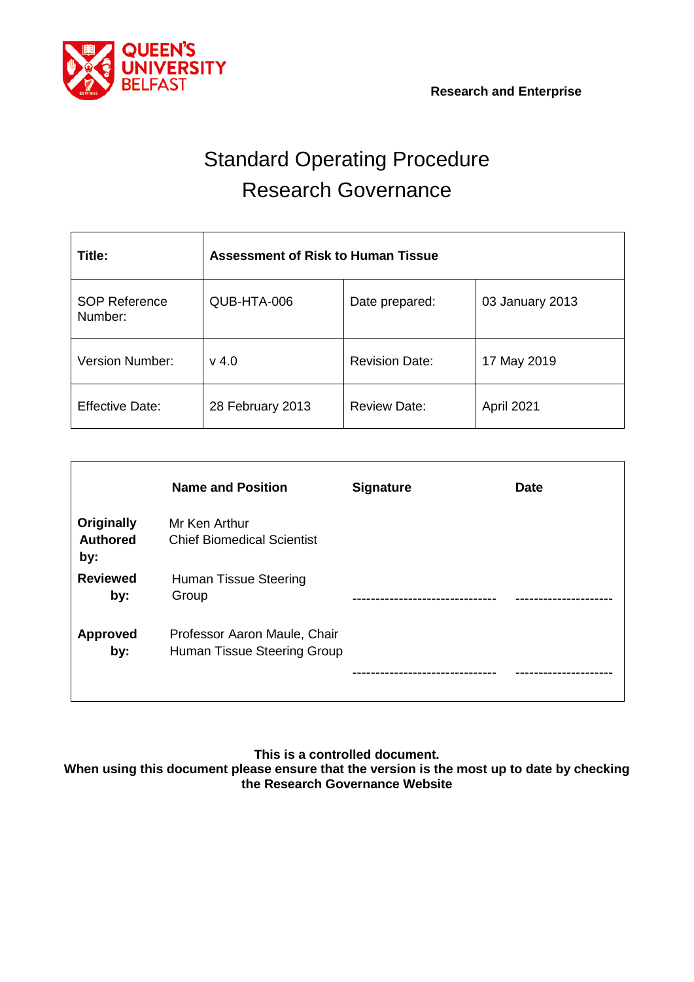

# Standard Operating Procedure Research Governance

| Title:                          | <b>Assessment of Risk to Human Tissue</b> |                       |                 |  |  |  |  |  |  |
|---------------------------------|-------------------------------------------|-----------------------|-----------------|--|--|--|--|--|--|
| <b>SOP Reference</b><br>Number: | QUB-HTA-006                               | Date prepared:        | 03 January 2013 |  |  |  |  |  |  |
| <b>Version Number:</b>          | $v$ 4.0                                   | <b>Revision Date:</b> | 17 May 2019     |  |  |  |  |  |  |
| <b>Effective Date:</b>          | 28 February 2013                          | <b>Review Date:</b>   | April 2021      |  |  |  |  |  |  |

| <b>Name and Position</b>                                    | <b>Signature</b> | <b>Date</b> |
|-------------------------------------------------------------|------------------|-------------|
| Mr Ken Arthur<br><b>Chief Biomedical Scientist</b>          |                  |             |
| Human Tissue Steering<br>Group                              |                  |             |
| Professor Aaron Maule, Chair<br>Human Tissue Steering Group |                  |             |
|                                                             |                  |             |

**This is a controlled document.**

**When using this document please ensure that the version is the most up to date by checking the Research Governance Website**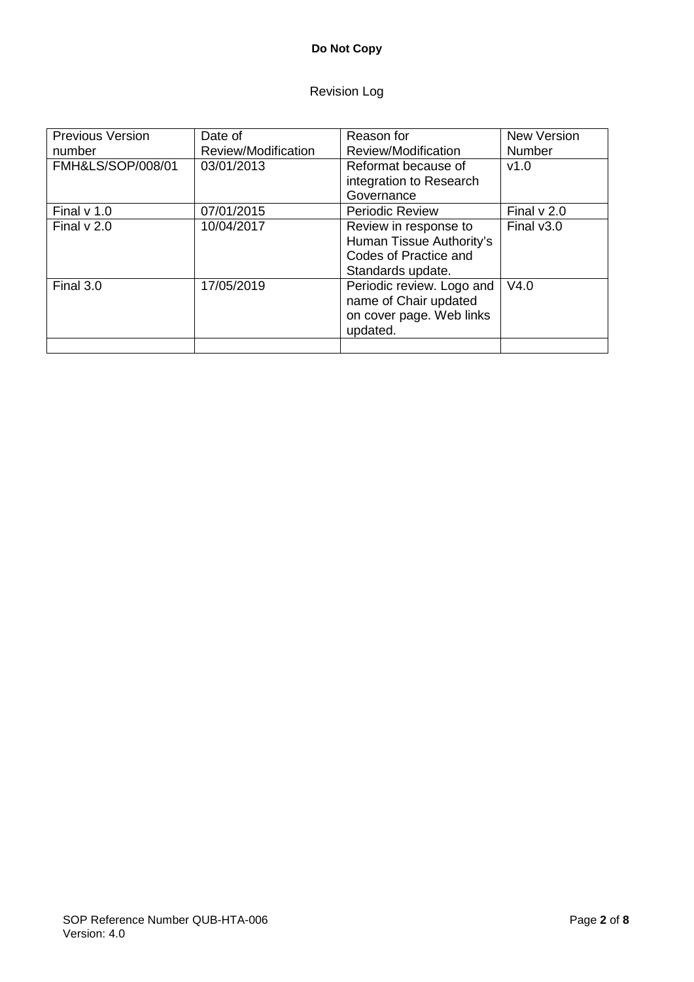## **Do Not Copy**

## Revision Log

| <b>Previous Version</b> | Date of             | Reason for                  | <b>New Version</b> |  |  |  |  |
|-------------------------|---------------------|-----------------------------|--------------------|--|--|--|--|
| number                  | Review/Modification | Review/Modification         | <b>Number</b>      |  |  |  |  |
| FMH&LS/SOP/008/01       | 03/01/2013          | Reformat because of<br>V1.0 |                    |  |  |  |  |
|                         |                     | integration to Research     |                    |  |  |  |  |
|                         |                     | Governance                  |                    |  |  |  |  |
| Final $v$ 1.0           | 07/01/2015          | <b>Periodic Review</b>      | Final $v$ 2.0      |  |  |  |  |
| Final $v$ 2.0           | 10/04/2017          | Review in response to       | Final $v3.0$       |  |  |  |  |
|                         |                     | Human Tissue Authority's    |                    |  |  |  |  |
|                         |                     | Codes of Practice and       |                    |  |  |  |  |
|                         |                     | Standards update.           |                    |  |  |  |  |
| Final 3.0               | 17/05/2019          | Periodic review. Logo and   | V4.0               |  |  |  |  |
|                         |                     | name of Chair updated       |                    |  |  |  |  |
|                         |                     | on cover page. Web links    |                    |  |  |  |  |
|                         |                     | updated.                    |                    |  |  |  |  |
|                         |                     |                             |                    |  |  |  |  |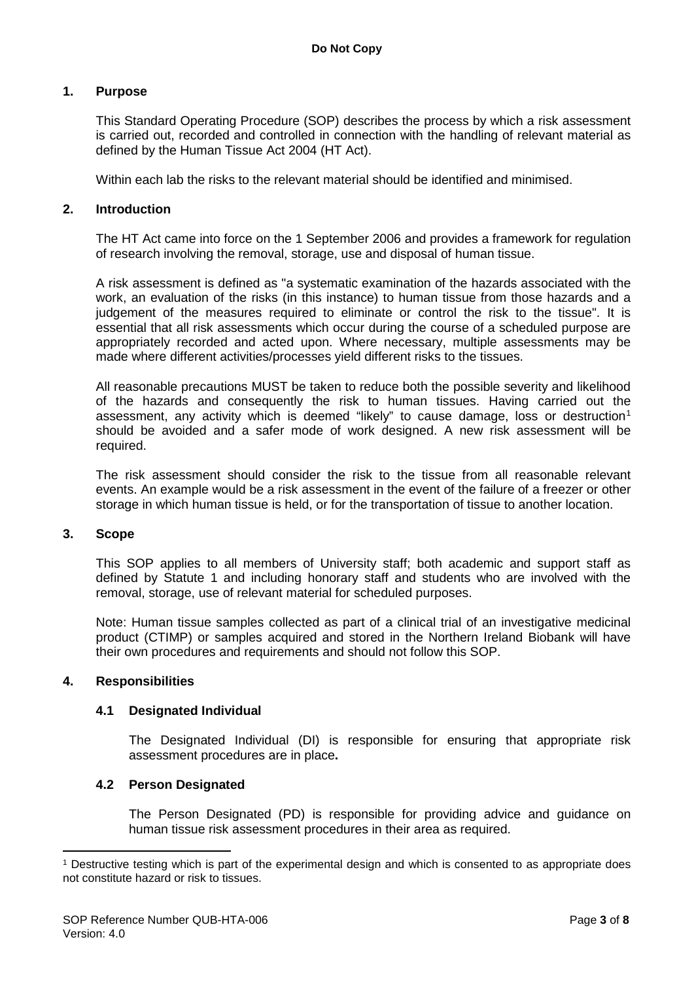### **1. Purpose**

This Standard Operating Procedure (SOP) describes the process by which a risk assessment is carried out, recorded and controlled in connection with the handling of relevant material as defined by the Human Tissue Act 2004 (HT Act).

Within each lab the risks to the relevant material should be identified and minimised.

#### **2. Introduction**

The HT Act came into force on the 1 September 2006 and provides a framework for regulation of research involving the removal, storage, use and disposal of human tissue.

A risk assessment is defined as "a systematic examination of the hazards associated with the work, an evaluation of the risks (in this instance) to human tissue from those hazards and a judgement of the measures required to eliminate or control the risk to the tissue". It is essential that all risk assessments which occur during the course of a scheduled purpose are appropriately recorded and acted upon. Where necessary, multiple assessments may be made where different activities/processes yield different risks to the tissues.

All reasonable precautions MUST be taken to reduce both the possible severity and likelihood of the hazards and consequently the risk to human tissues. Having carried out the assessment, any activity which is deemed "likely" to cause damage, loss or destruction<sup>[1](#page-2-0)</sup> should be avoided and a safer mode of work designed. A new risk assessment will be required.

The risk assessment should consider the risk to the tissue from all reasonable relevant events. An example would be a risk assessment in the event of the failure of a freezer or other storage in which human tissue is held, or for the transportation of tissue to another location.

#### **3. Scope**

This SOP applies to all members of University staff; both academic and support staff as defined by Statute 1 and including honorary staff and students who are involved with the removal, storage, use of relevant material for scheduled purposes.

Note: Human tissue samples collected as part of a clinical trial of an investigative medicinal product (CTIMP) or samples acquired and stored in the Northern Ireland Biobank will have their own procedures and requirements and should not follow this SOP.

#### **4. Responsibilities**

<u>.</u>

#### **4.1 Designated Individual**

The Designated Individual (DI) is responsible for ensuring that appropriate risk assessment procedures are in place**.**

#### **4.2 Person Designated**

The Person Designated (PD) is responsible for providing advice and guidance on human tissue risk assessment procedures in their area as required.

<span id="page-2-0"></span><sup>1</sup> Destructive testing which is part of the experimental design and which is consented to as appropriate does not constitute hazard or risk to tissues.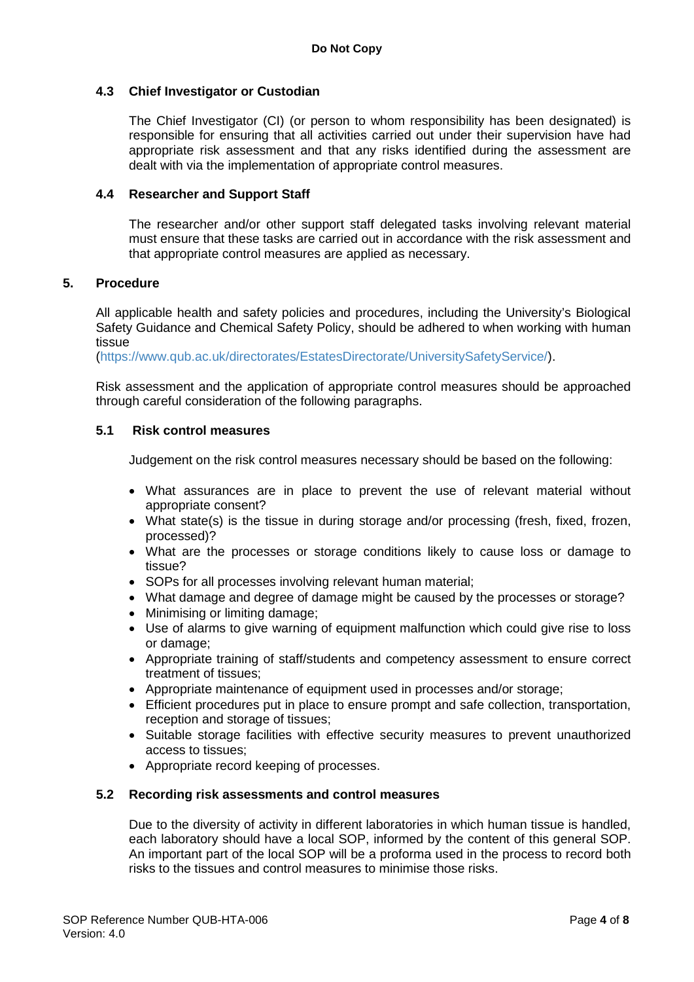### **4.3 Chief Investigator or Custodian**

The Chief Investigator (CI) (or person to whom responsibility has been designated) is responsible for ensuring that all activities carried out under their supervision have had appropriate risk assessment and that any risks identified during the assessment are dealt with via the implementation of appropriate control measures.

#### **4.4 Researcher and Support Staff**

The researcher and/or other support staff delegated tasks involving relevant material must ensure that these tasks are carried out in accordance with the risk assessment and that appropriate control measures are applied as necessary.

#### **5. Procedure**

All applicable health and safety policies and procedures, including the University's Biological Safety Guidance and Chemical Safety Policy, should be adhered to when working with human tissue

[\(https://www.qub.ac.uk/directorates/EstatesDirectorate/UniversitySafetyService/\)](https://www.qub.ac.uk/directorates/EstatesDirectorate/UniversitySafetyService/).

Risk assessment and the application of appropriate control measures should be approached through careful consideration of the following paragraphs.

## **5.1 Risk control measures**

Judgement on the risk control measures necessary should be based on the following:

- What assurances are in place to prevent the use of relevant material without appropriate consent?
- What state(s) is the tissue in during storage and/or processing (fresh, fixed, frozen, processed)?
- What are the processes or storage conditions likely to cause loss or damage to tissue?
- SOPs for all processes involving relevant human material;
- What damage and degree of damage might be caused by the processes or storage?
- Minimising or limiting damage;
- Use of alarms to give warning of equipment malfunction which could give rise to loss or damage;
- Appropriate training of staff/students and competency assessment to ensure correct treatment of tissues;
- Appropriate maintenance of equipment used in processes and/or storage;
- Efficient procedures put in place to ensure prompt and safe collection, transportation, reception and storage of tissues;
- Suitable storage facilities with effective security measures to prevent unauthorized access to tissues;
- Appropriate record keeping of processes.

#### **5.2 Recording risk assessments and control measures**

Due to the diversity of activity in different laboratories in which human tissue is handled, each laboratory should have a local SOP, informed by the content of this general SOP. An important part of the local SOP will be a proforma used in the process to record both risks to the tissues and control measures to minimise those risks.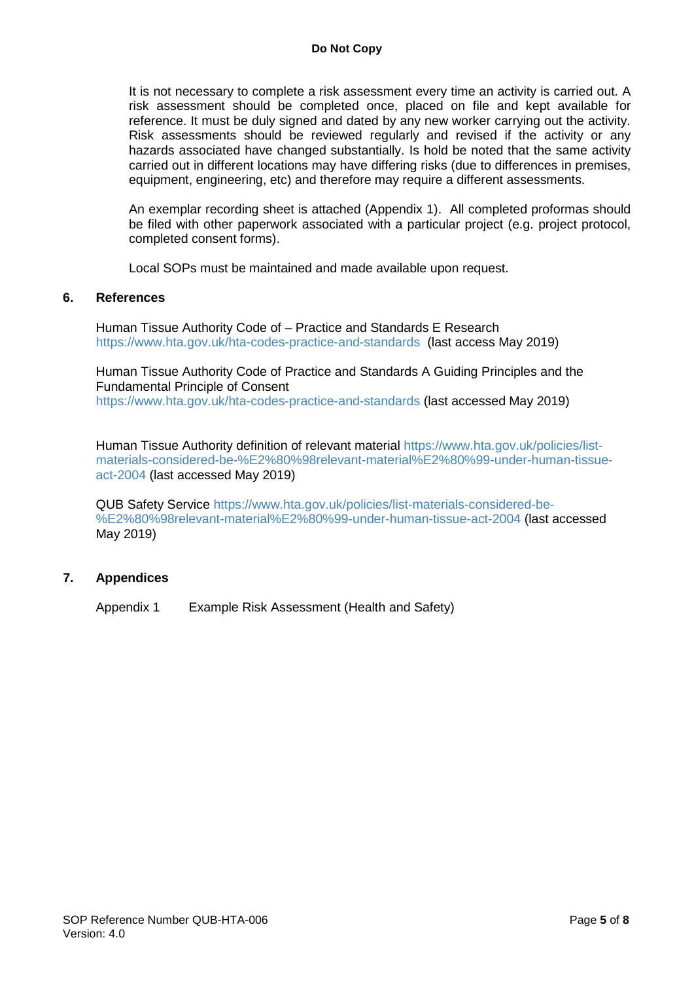It is not necessary to complete a risk assessment every time an activity is carried out. A risk assessment should be completed once, placed on file and kept available for reference. It must be duly signed and dated by any new worker carrying out the activity. Risk assessments should be reviewed regularly and revised if the activity or any hazards associated have changed substantially. Is hold be noted that the same activity carried out in different locations may have differing risks (due to differences in premises, equipment, engineering, etc) and therefore may require a different assessments.

An exemplar recording sheet is attached (Appendix 1). All completed proformas should be filed with other paperwork associated with a particular project (e.g. project protocol, completed consent forms).

Local SOPs must be maintained and made available upon request.

#### **6. References**

Human Tissue Authority Code of – Practice and Standards E Research <https://www.hta.gov.uk/hta-codes-practice-and-standards> (last access May 2019)

Human Tissue Authority Code of Practice and Standards A Guiding Principles and the Fundamental Principle of Consent <https://www.hta.gov.uk/hta-codes-practice-and-standards> (last accessed May 2019)

Human Tissue Authority definition of relevant material [https://www.hta.gov.uk/policies/list](https://www.hta.gov.uk/policies/list-materials-considered-be-%E2%80%98relevant-material%E2%80%99-under-human-tissue-act-2004)[materials-considered-be-%E2%80%98relevant-material%E2%80%99-under-human-tissue](https://www.hta.gov.uk/policies/list-materials-considered-be-%E2%80%98relevant-material%E2%80%99-under-human-tissue-act-2004)[act-2004](https://www.hta.gov.uk/policies/list-materials-considered-be-%E2%80%98relevant-material%E2%80%99-under-human-tissue-act-2004) (last accessed May 2019)

QUB Safety Service [https://www.hta.gov.uk/policies/list-materials-considered-be-](https://www.hta.gov.uk/policies/list-materials-considered-be-%E2%80%98relevant-material%E2%80%99-under-human-tissue-act-2004) [%E2%80%98relevant-material%E2%80%99-under-human-tissue-act-2004](https://www.hta.gov.uk/policies/list-materials-considered-be-%E2%80%98relevant-material%E2%80%99-under-human-tissue-act-2004) (last accessed May 2019)

#### **7. Appendices**

Appendix 1 Example Risk Assessment (Health and Safety)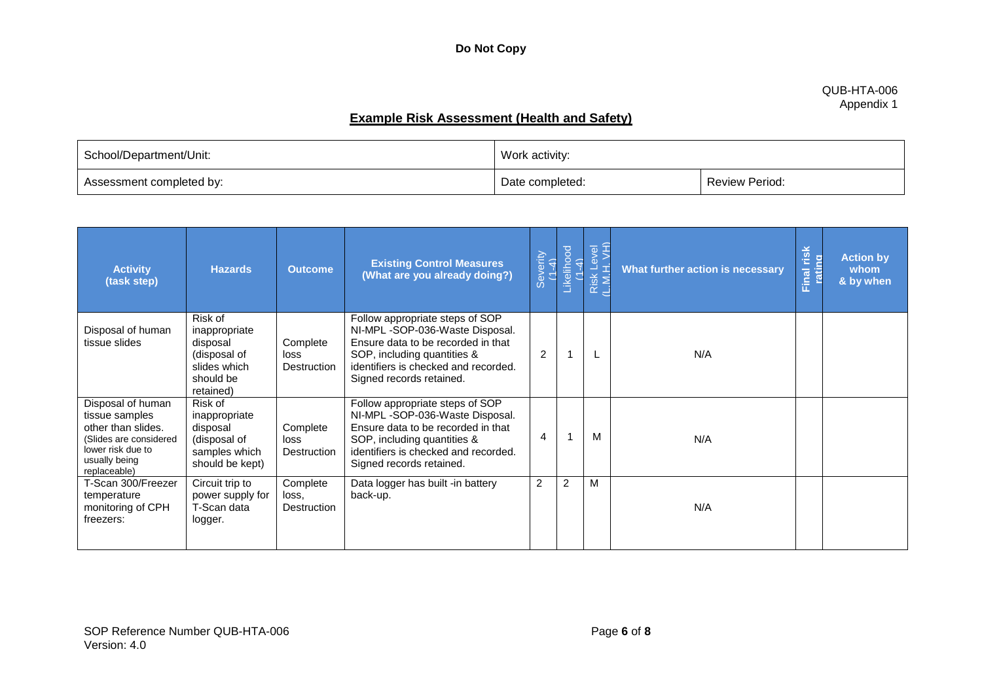#### QUB-HTA-006 Appendix 1

# **Example Risk Assessment (Health and Safety)**

| School/Department/Unit:  | Work activity:  |                       |  |
|--------------------------|-----------------|-----------------------|--|
| Assessment completed by: | Date completed: | <b>Review Period:</b> |  |

| <b>Activity</b><br>(task step)                                                                                                            | <b>Hazards</b>                                                                                 | <b>Outcome</b>                   | <b>Existing Control Measures</b><br>(What are you already doing?)                                                                                                                                          | Severity<br>(1-4) | Likelihood<br>(1-4) | Risk Level<br>L.M.H. VH) | What further action is necessary | Final risk<br>rating | <b>Action by</b><br>whom<br>& by when |
|-------------------------------------------------------------------------------------------------------------------------------------------|------------------------------------------------------------------------------------------------|----------------------------------|------------------------------------------------------------------------------------------------------------------------------------------------------------------------------------------------------------|-------------------|---------------------|--------------------------|----------------------------------|----------------------|---------------------------------------|
| Disposal of human<br>tissue slides                                                                                                        | Risk of<br>inappropriate<br>disposal<br>(disposal of<br>slides which<br>should be<br>retained) | Complete<br>loss<br>Destruction  | Follow appropriate steps of SOP<br>NI-MPL-SOP-036-Waste Disposal.<br>Ensure data to be recorded in that<br>SOP, including quantities &<br>identifiers is checked and recorded.<br>Signed records retained. | $\overline{2}$    | 1                   |                          | N/A                              |                      |                                       |
| Disposal of human<br>tissue samples<br>other than slides.<br>(Slides are considered<br>lower risk due to<br>usually being<br>replaceable) | Risk of<br>inappropriate<br>disposal<br>(disposal of<br>samples which<br>should be kept)       | Complete<br>loss<br>Destruction  | Follow appropriate steps of SOP<br>NI-MPL-SOP-036-Waste Disposal.<br>Ensure data to be recorded in that<br>SOP, including quantities &<br>identifiers is checked and recorded.<br>Signed records retained. | 4                 | 1                   | м                        | N/A                              |                      |                                       |
| T-Scan 300/Freezer<br>temperature<br>monitoring of CPH<br>freezers:                                                                       | Circuit trip to<br>power supply for<br>T-Scan data<br>logger.                                  | Complete<br>loss.<br>Destruction | Data logger has built -in battery<br>back-up.                                                                                                                                                              | $\overline{2}$    | 2                   | M                        | N/A                              |                      |                                       |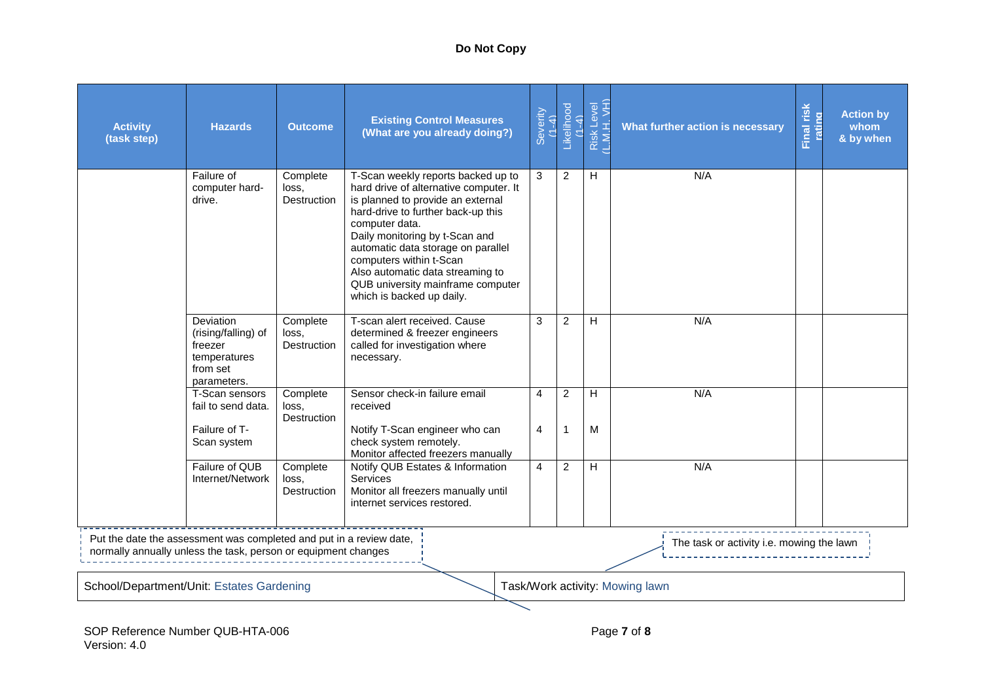## **Do Not Copy**

| <b>Activity</b><br>(task step)            | <b>Hazards</b>                                                                                                                                                                     | <b>Outcome</b>                          | <b>Existing Control Measures</b><br>(What are you already doing?)                                                                                                                                                                                                                                                                                                                  | Severity<br>$(1 -$<br>Ź, | Likelihood<br>(1-4)           | Risk Level<br>(L.M.H. VH) | What further action is necessary | risk<br>rating<br>Final | <b>Action by</b><br>whom<br>& by when |  |
|-------------------------------------------|------------------------------------------------------------------------------------------------------------------------------------------------------------------------------------|-----------------------------------------|------------------------------------------------------------------------------------------------------------------------------------------------------------------------------------------------------------------------------------------------------------------------------------------------------------------------------------------------------------------------------------|--------------------------|-------------------------------|---------------------------|----------------------------------|-------------------------|---------------------------------------|--|
|                                           | Failure of<br>computer hard-<br>drive.                                                                                                                                             | Complete<br>loss.<br>Destruction        | T-Scan weekly reports backed up to<br>hard drive of alternative computer. It<br>is planned to provide an external<br>hard-drive to further back-up this<br>computer data.<br>Daily monitoring by t-Scan and<br>automatic data storage on parallel<br>computers within t-Scan<br>Also automatic data streaming to<br>QUB university mainframe computer<br>which is backed up daily. | 3                        | $\overline{2}$                | H                         | N/A                              |                         |                                       |  |
|                                           | Deviation<br>(rising/falling) of<br>freezer<br>temperatures<br>from set<br>parameters.                                                                                             | Complete<br>loss.<br><b>Destruction</b> | T-scan alert received. Cause<br>determined & freezer engineers<br>called for investigation where<br>necessary.                                                                                                                                                                                                                                                                     | 3                        | 2                             | H                         | N/A                              |                         |                                       |  |
|                                           | T-Scan sensors<br>fail to send data.<br>Failure of T-                                                                                                                              | Complete<br>loss.<br><b>Destruction</b> | Sensor check-in failure email<br>received<br>Notify T-Scan engineer who can<br>check system remotely.                                                                                                                                                                                                                                                                              | 4<br>4                   | $\overline{2}$<br>$\mathbf 1$ | H<br>M                    | N/A                              |                         |                                       |  |
|                                           | Scan system<br>Failure of QUB<br>Internet/Network                                                                                                                                  | Complete<br>loss,<br>Destruction        | Monitor affected freezers manually<br>Notify QUB Estates & Information<br><b>Services</b><br>Monitor all freezers manually until<br>internet services restored.                                                                                                                                                                                                                    | $\overline{4}$           | $\overline{2}$                | H                         | N/A                              |                         |                                       |  |
|                                           | Put the date the assessment was completed and put in a review date,<br>The task or activity i.e. mowing the lawn<br>normally annually unless the task, person or equipment changes |                                         |                                                                                                                                                                                                                                                                                                                                                                                    |                          |                               |                           |                                  |                         |                                       |  |
| School/Department/Unit: Estates Gardening |                                                                                                                                                                                    |                                         |                                                                                                                                                                                                                                                                                                                                                                                    |                          |                               |                           | Task/Work activity: Mowing lawn  |                         |                                       |  |